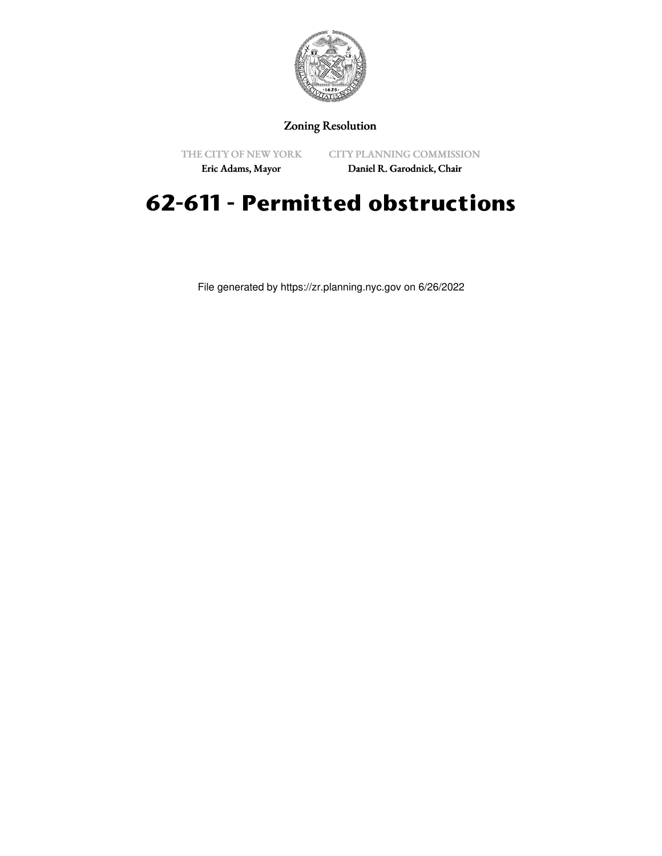

## Zoning Resolution

THE CITY OF NEW YORK

CITY PLANNING COMMISSION

Eric Adams, Mayor

Daniel R. Garodnick, Chair

## **62-611 - Permitted obstructions**

File generated by https://zr.planning.nyc.gov on 6/26/2022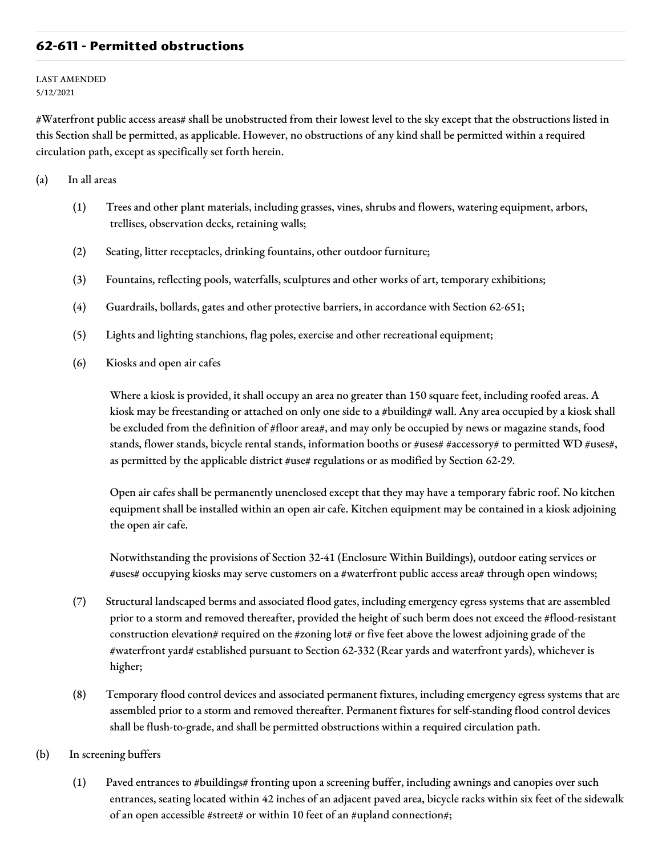## **62-611 - Permitted obstructions**

LAST AMENDED 5/12/2021

#Waterfront public access areas# shall be unobstructed from their lowest level to the sky except that the obstructions listed in this Section shall be permitted, as applicable. However, no obstructions of any kind shall be permitted within a required circulation path, except as specifically set forth herein.

(a) In all areas

- (1) Trees and other plant materials, including grasses, vines, shrubs and flowers, watering equipment, arbors, trellises, observation decks, retaining walls;
- (2) Seating, litter receptacles, drinking fountains, other outdoor furniture;
- (3) Fountains, reflecting pools, waterfalls, sculptures and other works of art, temporary exhibitions;
- (4) Guardrails, bollards, gates and other protective barriers, in accordance with Section 62-651;
- (5) Lights and lighting stanchions, flag poles, exercise and other recreational equipment;
- (6) Kiosks and open air cafes

Where a kiosk is provided, it shall occupy an area no greater than 150 square feet, including roofed areas. A kiosk may be freestanding or attached on only one side to a #building# wall. Any area occupied by a kiosk shall be excluded from the definition of #floor area#, and may only be occupied by news or magazine stands, food stands, flower stands, bicycle rental stands, information booths or #uses# #accessory# to permitted WD #uses#, as permitted by the applicable district #use# regulations or as modified by Section 62-29.

Open air cafes shall be permanently unenclosed except that they may have a temporary fabric roof. No kitchen equipment shall be installed within an open air cafe. Kitchen equipment may be contained in a kiosk adjoining the open air cafe.

Notwithstanding the provisions of Section 32-41 (Enclosure Within Buildings), outdoor eating services or #uses# occupying kiosks may serve customers on a #waterfront public access area# through open windows;

- (7) Structural landscaped berms and associated flood gates, including emergency egress systems that are assembled prior to a storm and removed thereafter, provided the height of such berm does not exceed the #flood-resistant construction elevation# required on the #zoning lot# or five feet above the lowest adjoining grade of the #waterfront yard# established pursuant to Section 62-332 (Rear yards and waterfront yards), whichever is higher;
- (8) Temporary flood control devices and associated permanent fixtures, including emergency egress systems that are assembled prior to a storm and removed thereafter. Permanent fixtures for self-standing flood control devices shall be flush-to-grade, and shall be permitted obstructions within a required circulation path.
- (b) In screening buffers
	- (1) Paved entrances to #buildings# fronting upon a screening buffer, including awnings and canopies over such entrances, seating located within 42 inches of an adjacent paved area, bicycle racks within six feet of the sidewalk of an open accessible #street# or within 10 feet of an #upland connection#;